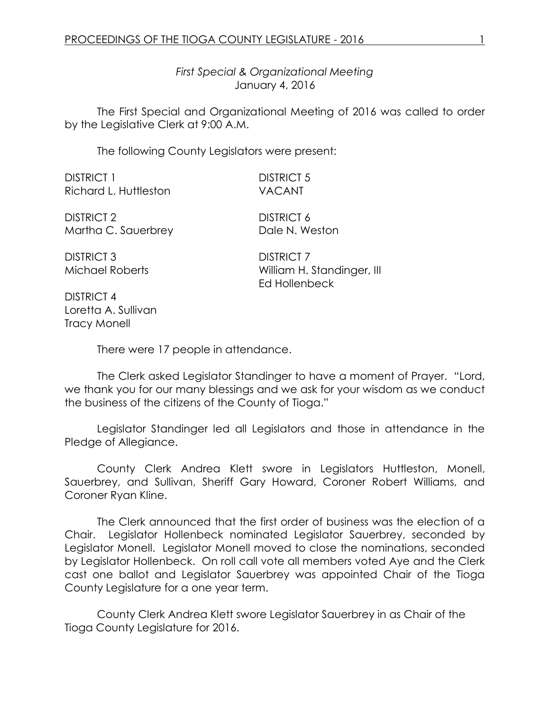*First Special & Organizational Meeting* January 4, 2016

The First Special and Organizational Meeting of 2016 was called to order by the Legislative Clerk at 9:00 A.M.

The following County Legislators were present:

| <b>DISTRICT 1</b>                    | <b>DISTRICT 5</b>                                                |
|--------------------------------------|------------------------------------------------------------------|
| Richard L. Huttleston                | <b>VACANT</b>                                                    |
| <b>DISTRICT 2</b>                    | <b>DISTRICT 6</b>                                                |
| Martha C. Sauerbrey                  | Dale N. Weston                                                   |
| <b>DISTRICT 3</b><br>Michael Roberts | <b>DISTRICT 7</b><br>William H. Standinger, III<br>Ed Hollenbeck |

DISTRICT 4 Loretta A. Sullivan Tracy Monell

There were 17 people in attendance.

The Clerk asked Legislator Standinger to have a moment of Prayer. "Lord, we thank you for our many blessings and we ask for your wisdom as we conduct the business of the citizens of the County of Tioga."

Legislator Standinger led all Legislators and those in attendance in the Pledge of Allegiance.

County Clerk Andrea Klett swore in Legislators Huttleston, Monell, Sauerbrey, and Sullivan, Sheriff Gary Howard, Coroner Robert Williams, and Coroner Ryan Kline.

The Clerk announced that the first order of business was the election of a Chair. Legislator Hollenbeck nominated Legislator Sauerbrey, seconded by Legislator Monell. Legislator Monell moved to close the nominations, seconded by Legislator Hollenbeck. On roll call vote all members voted Aye and the Clerk cast one ballot and Legislator Sauerbrey was appointed Chair of the Tioga County Legislature for a one year term.

County Clerk Andrea Klett swore Legislator Sauerbrey in as Chair of the Tioga County Legislature for 2016.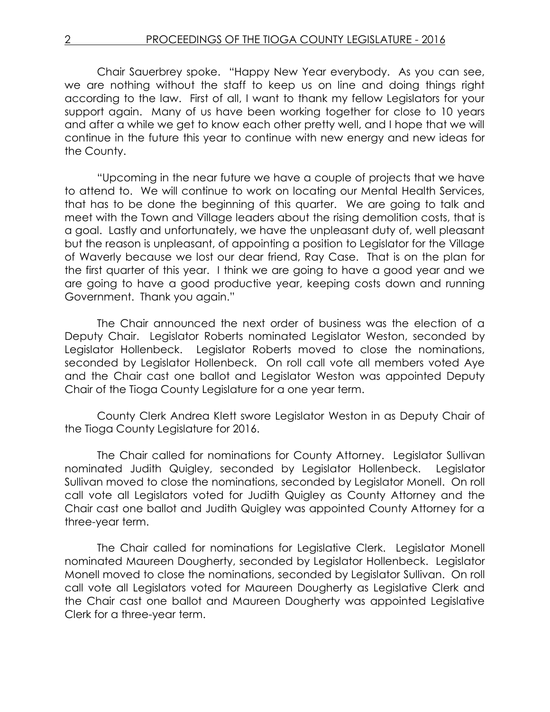Chair Sauerbrey spoke. "Happy New Year everybody. As you can see, we are nothing without the staff to keep us on line and doing things right according to the law. First of all, I want to thank my fellow Legislators for your support again. Many of us have been working together for close to 10 years and after a while we get to know each other pretty well, and I hope that we will continue in the future this year to continue with new energy and new ideas for the County.

"Upcoming in the near future we have a couple of projects that we have to attend to. We will continue to work on locating our Mental Health Services, that has to be done the beginning of this quarter. We are going to talk and meet with the Town and Village leaders about the rising demolition costs, that is a goal. Lastly and unfortunately, we have the unpleasant duty of, well pleasant but the reason is unpleasant, of appointing a position to Legislator for the Village of Waverly because we lost our dear friend, Ray Case. That is on the plan for the first quarter of this year. I think we are going to have a good year and we are going to have a good productive year, keeping costs down and running Government. Thank you again."

The Chair announced the next order of business was the election of a Deputy Chair. Legislator Roberts nominated Legislator Weston, seconded by Legislator Hollenbeck. Legislator Roberts moved to close the nominations, seconded by Legislator Hollenbeck. On roll call vote all members voted Aye and the Chair cast one ballot and Legislator Weston was appointed Deputy Chair of the Tioga County Legislature for a one year term.

County Clerk Andrea Klett swore Legislator Weston in as Deputy Chair of the Tioga County Legislature for 2016.

The Chair called for nominations for County Attorney. Legislator Sullivan nominated Judith Quigley, seconded by Legislator Hollenbeck. Legislator Sullivan moved to close the nominations, seconded by Legislator Monell. On roll call vote all Legislators voted for Judith Quigley as County Attorney and the Chair cast one ballot and Judith Quigley was appointed County Attorney for a three-year term.

The Chair called for nominations for Legislative Clerk. Legislator Monell nominated Maureen Dougherty, seconded by Legislator Hollenbeck. Legislator Monell moved to close the nominations, seconded by Legislator Sullivan. On roll call vote all Legislators voted for Maureen Dougherty as Legislative Clerk and the Chair cast one ballot and Maureen Dougherty was appointed Legislative Clerk for a three-year term.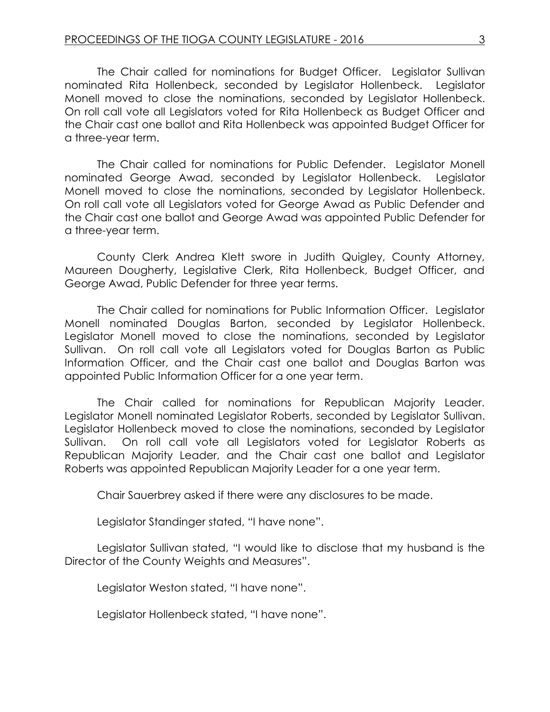The Chair called for nominations for Budget Officer. Legislator Sullivan nominated Rita Hollenbeck, seconded by Legislator Hollenbeck. Legislator Monell moved to close the nominations, seconded by Legislator Hollenbeck. On roll call vote all Legislators voted for Rita Hollenbeck as Budget Officer and the Chair cast one ballot and Rita Hollenbeck was appointed Budget Officer for a three-year term.

The Chair called for nominations for Public Defender. Legislator Monell nominated George Awad, seconded by Legislator Hollenbeck. Legislator Monell moved to close the nominations, seconded by Legislator Hollenbeck. On roll call vote all Legislators voted for George Awad as Public Defender and the Chair cast one ballot and George Awad was appointed Public Defender for a three-year term.

County Clerk Andrea Klett swore in Judith Quigley, County Attorney, Maureen Dougherty, Legislative Clerk, Rita Hollenbeck, Budget Officer, and George Awad, Public Defender for three year terms.

The Chair called for nominations for Public Information Officer. Legislator Monell nominated Douglas Barton, seconded by Legislator Hollenbeck. Legislator Monell moved to close the nominations, seconded by Legislator Sullivan. On roll call vote all Legislators voted for Douglas Barton as Public Information Officer, and the Chair cast one ballot and Douglas Barton was appointed Public Information Officer for a one year term.

The Chair called for nominations for Republican Majority Leader. Legislator Monell nominated Legislator Roberts, seconded by Legislator Sullivan. Legislator Hollenbeck moved to close the nominations, seconded by Legislator Sullivan. On roll call vote all Legislators voted for Legislator Roberts as Republican Majority Leader, and the Chair cast one ballot and Legislator Roberts was appointed Republican Majority Leader for a one year term.

Chair Sauerbrey asked if there were any disclosures to be made.

Legislator Standinger stated, "I have none".

Legislator Sullivan stated, "I would like to disclose that my husband is the Director of the County Weights and Measures".

Legislator Weston stated, "I have none".

Legislator Hollenbeck stated, "I have none".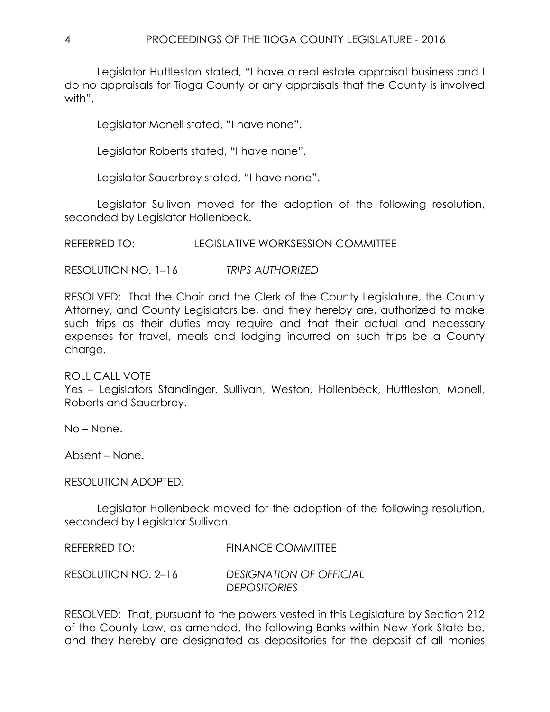Legislator Huttleston stated, "I have a real estate appraisal business and I do no appraisals for Tioga County or any appraisals that the County is involved with".

Legislator Monell stated, "I have none".

Legislator Roberts stated, "I have none".

Legislator Sauerbrey stated, "I have none".

Legislator Sullivan moved for the adoption of the following resolution, seconded by Legislator Hollenbeck.

REFERRED TO: LEGISLATIVE WORKSESSION COMMITTEE

RESOLUTION NO. 1–16 *TRIPS AUTHORIZED*

RESOLVED: That the Chair and the Clerk of the County Legislature, the County Attorney, and County Legislators be, and they hereby are, authorized to make such trips as their duties may require and that their actual and necessary expenses for travel, meals and lodging incurred on such trips be a County charge.

# ROLL CALL VOTE

Yes – Legislators Standinger, Sullivan, Weston, Hollenbeck, Huttleston, Monell, Roberts and Sauerbrey.

No – None.

Absent – None.

RESOLUTION ADOPTED.

Legislator Hollenbeck moved for the adoption of the following resolution, seconded by Legislator Sullivan.

| REFERRED TO:        | <b>FINANCE COMMITTEE</b>                              |
|---------------------|-------------------------------------------------------|
| RESOLUTION NO. 2-16 | <b>DESIGNATION OF OFFICIAL</b><br><b>DEPOSITORIES</b> |

RESOLVED: That, pursuant to the powers vested in this Legislature by Section 212 of the County Law, as amended, the following Banks within New York State be, and they hereby are designated as depositories for the deposit of all monies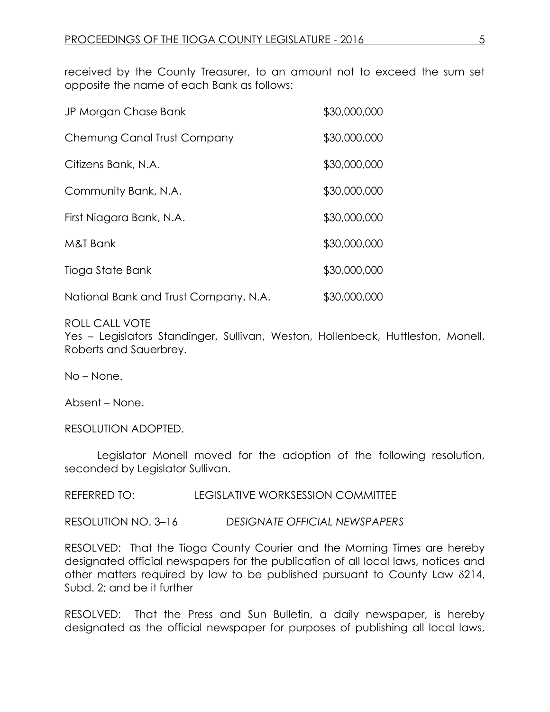received by the County Treasurer, to an amount not to exceed the sum set opposite the name of each Bank as follows:

| JP Morgan Chase Bank                  | \$30,000,000 |
|---------------------------------------|--------------|
| Chemung Canal Trust Company           | \$30,000,000 |
| Citizens Bank, N.A.                   | \$30,000,000 |
| Community Bank, N.A.                  | \$30,000,000 |
| First Niagara Bank, N.A.              | \$30,000,000 |
| M&T Bank                              | \$30,000,000 |
| Tioga State Bank                      | \$30,000,000 |
| National Bank and Trust Company, N.A. | \$30,000,000 |

## ROLL CALL VOTE

Yes – Legislators Standinger, Sullivan, Weston, Hollenbeck, Huttleston, Monell, Roberts and Sauerbrey.

No – None.

Absent – None.

RESOLUTION ADOPTED.

Legislator Monell moved for the adoption of the following resolution, seconded by Legislator Sullivan.

REFERRED TO: LEGISLATIVE WORKSESSION COMMITTEE

RESOLUTION NO. 3–16 *DESIGNATE OFFICIAL NEWSPAPERS*

RESOLVED: That the Tioga County Courier and the Morning Times are hereby designated official newspapers for the publication of all local laws, notices and other matters required by law to be published pursuant to County Law  $\delta$ 214, Subd. 2; and be it further

RESOLVED: That the Press and Sun Bulletin, a daily newspaper, is hereby designated as the official newspaper for purposes of publishing all local laws,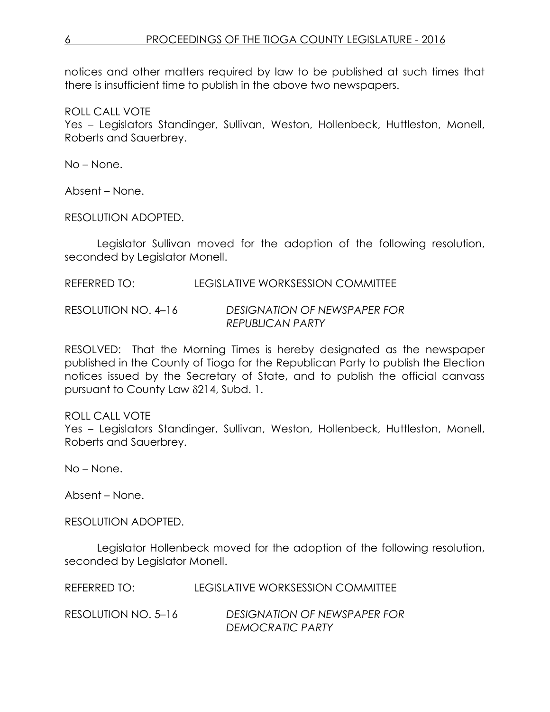notices and other matters required by law to be published at such times that there is insufficient time to publish in the above two newspapers.

ROLL CALL VOTE

Yes – Legislators Standinger, Sullivan, Weston, Hollenbeck, Huttleston, Monell, Roberts and Sauerbrey.

No – None.

Absent – None.

RESOLUTION ADOPTED.

Legislator Sullivan moved for the adoption of the following resolution, seconded by Legislator Monell.

REFERRED TO: LEGISLATIVE WORKSESSION COMMITTEE

RESOLUTION NO. 4–16 *DESIGNATION OF NEWSPAPER FOR REPUBLICAN PARTY*

RESOLVED: That the Morning Times is hereby designated as the newspaper published in the County of Tioga for the Republican Party to publish the Election notices issued by the Secretary of State, and to publish the official canvass pursuant to County Law 214, Subd. 1.

ROLL CALL VOTE

Yes – Legislators Standinger, Sullivan, Weston, Hollenbeck, Huttleston, Monell, Roberts and Sauerbrey.

No – None.

Absent – None.

RESOLUTION ADOPTED.

Legislator Hollenbeck moved for the adoption of the following resolution, seconded by Legislator Monell.

| REFERRED TO:        | LEGISLATIVE WORKSESSION COMMITTEE |
|---------------------|-----------------------------------|
| RESOLUTION NO. 5–16 | DESIGNATION OF NEWSPAPER FOR      |
|                     | DEMOCRATIC PARTY                  |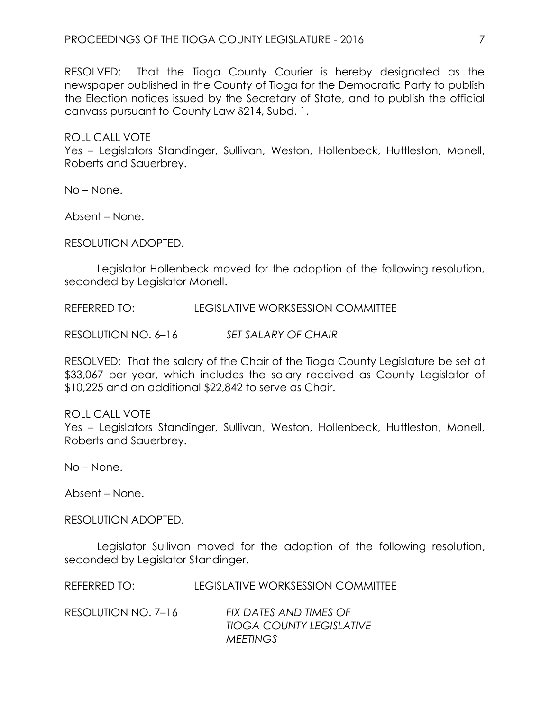RESOLVED: That the Tioga County Courier is hereby designated as the newspaper published in the County of Tioga for the Democratic Party to publish the Election notices issued by the Secretary of State, and to publish the official canvass pursuant to County Law 214, Subd. 1.

ROLL CALL VOTE Yes – Legislators Standinger, Sullivan, Weston, Hollenbeck, Huttleston, Monell, Roberts and Sauerbrey.

No – None.

Absent – None.

RESOLUTION ADOPTED.

Legislator Hollenbeck moved for the adoption of the following resolution, seconded by Legislator Monell.

REFERRED TO: LEGISLATIVE WORKSESSION COMMITTEE

RESOLUTION NO. 6–16 *SET SALARY OF CHAIR*

RESOLVED: That the salary of the Chair of the Tioga County Legislature be set at \$33,067 per year, which includes the salary received as County Legislator of \$10,225 and an additional \$22,842 to serve as Chair.

#### ROLL CALL VOTE

Yes – Legislators Standinger, Sullivan, Weston, Hollenbeck, Huttleston, Monell, Roberts and Sauerbrey.

No – None.

Absent – None.

RESOLUTION ADOPTED.

Legislator Sullivan moved for the adoption of the following resolution, seconded by Legislator Standinger.

|  | REFERRED TO: | LEGISLATIVE WORKSESSION COMMITTEE |  |
|--|--------------|-----------------------------------|--|
|--|--------------|-----------------------------------|--|

| RESOLUTION NO. 7–16 | FIX DATES AND TIMES OF          |
|---------------------|---------------------------------|
|                     | <b>TIOGA COUNTY LEGISLATIVE</b> |
|                     | <b>MEETINGS</b>                 |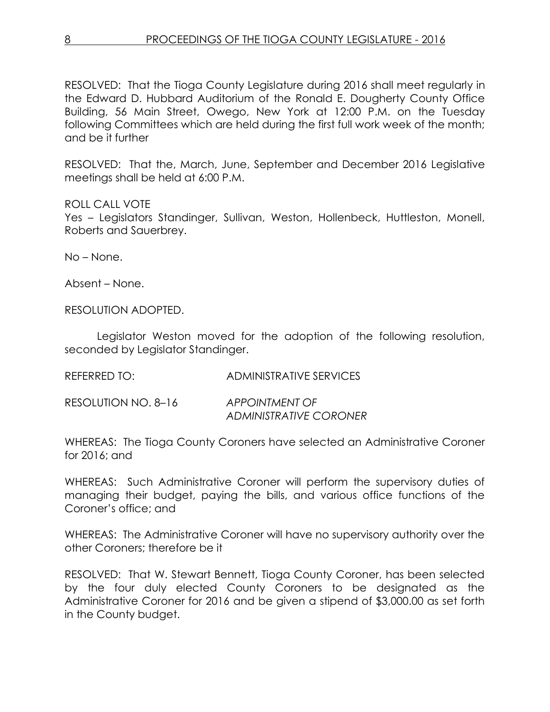RESOLVED: That the Tioga County Legislature during 2016 shall meet regularly in the Edward D. Hubbard Auditorium of the Ronald E. Dougherty County Office Building, 56 Main Street, Owego, New York at 12:00 P.M. on the Tuesday following Committees which are held during the first full work week of the month; and be it further

RESOLVED: That the, March, June, September and December 2016 Legislative meetings shall be held at 6:00 P.M.

## ROLL CALL VOTE

Yes – Legislators Standinger, Sullivan, Weston, Hollenbeck, Huttleston, Monell, Roberts and Sauerbrey.

No – None.

Absent – None.

RESOLUTION ADOPTED.

Legislator Weston moved for the adoption of the following resolution, seconded by Legislator Standinger.

REFERRED TO: ADMINISTRATIVE SERVICES

RESOLUTION NO. 8–16 *APPOINTMENT OF ADMINISTRATIVE CORONER*

WHEREAS: The Tioga County Coroners have selected an Administrative Coroner for 2016; and

WHEREAS: Such Administrative Coroner will perform the supervisory duties of managing their budget, paying the bills, and various office functions of the Coroner's office; and

WHEREAS: The Administrative Coroner will have no supervisory authority over the other Coroners; therefore be it

RESOLVED: That W. Stewart Bennett, Tioga County Coroner, has been selected by the four duly elected County Coroners to be designated as the Administrative Coroner for 2016 and be given a stipend of \$3,000.00 as set forth in the County budget.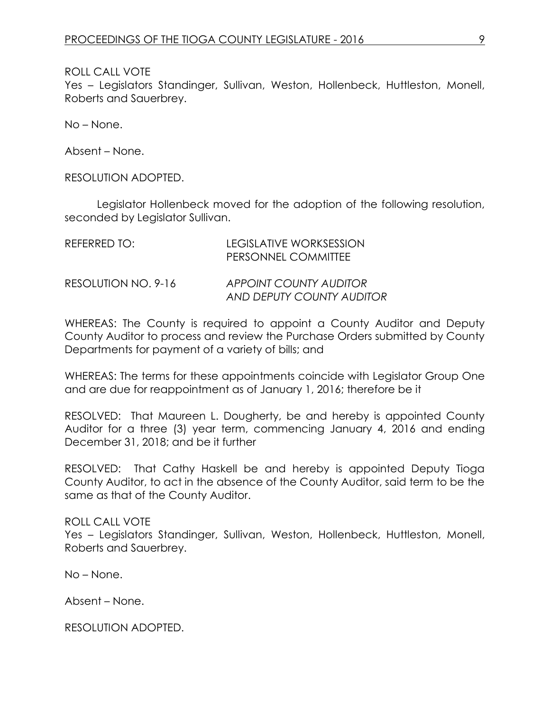ROLL CALL VOTE

Yes – Legislators Standinger, Sullivan, Weston, Hollenbeck, Huttleston, Monell, Roberts and Sauerbrey.

No – None.

Absent – None.

RESOLUTION ADOPTED.

Legislator Hollenbeck moved for the adoption of the following resolution, seconded by Legislator Sullivan.

| REFERRED TO:        | LEGISLATIVE WORKSESSION<br>PERSONNEL COMMITTEE      |
|---------------------|-----------------------------------------------------|
| RESOLUTION NO. 9-16 | APPOINT COUNTY AUDITOR<br>AND DEPUTY COUNTY AUDITOR |

WHEREAS: The County is required to appoint a County Auditor and Deputy County Auditor to process and review the Purchase Orders submitted by County Departments for payment of a variety of bills; and

WHEREAS: The terms for these appointments coincide with Legislator Group One and are due for reappointment as of January 1, 2016; therefore be it

RESOLVED: That Maureen L. Dougherty, be and hereby is appointed County Auditor for a three (3) year term, commencing January 4, 2016 and ending December 31, 2018; and be it further

RESOLVED: That Cathy Haskell be and hereby is appointed Deputy Tioga County Auditor, to act in the absence of the County Auditor, said term to be the same as that of the County Auditor.

ROLL CALL VOTE

Yes – Legislators Standinger, Sullivan, Weston, Hollenbeck, Huttleston, Monell, Roberts and Sauerbrey.

No – None.

Absent – None.

RESOLUTION ADOPTED.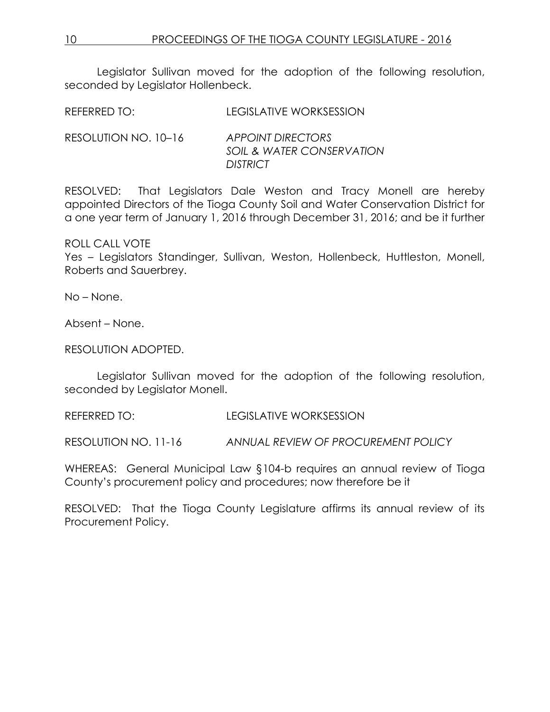Legislator Sullivan moved for the adoption of the following resolution, seconded by Legislator Hollenbeck.

| REFERRED TO: | <b>LEGISLATIVE WORKSESSION</b> |
|--------------|--------------------------------|
|              |                                |

RESOLUTION NO. 10–16 *APPOINT DIRECTORS SOIL & WATER CONSERVATION DISTRICT*

RESOLVED: That Legislators Dale Weston and Tracy Monell are hereby appointed Directors of the Tioga County Soil and Water Conservation District for a one year term of January 1, 2016 through December 31, 2016; and be it further

ROLL CALL VOTE

Yes – Legislators Standinger, Sullivan, Weston, Hollenbeck, Huttleston, Monell, Roberts and Sauerbrey.

No – None.

Absent – None.

RESOLUTION ADOPTED.

Legislator Sullivan moved for the adoption of the following resolution, seconded by Legislator Monell.

REFERRED TO: LEGISLATIVE WORKSESSION

RESOLUTION NO. 11-16 *ANNUAL REVIEW OF PROCUREMENT POLICY*

WHEREAS: General Municipal Law §104-b requires an annual review of Tioga County's procurement policy and procedures; now therefore be it

RESOLVED: That the Tioga County Legislature affirms its annual review of its Procurement Policy.